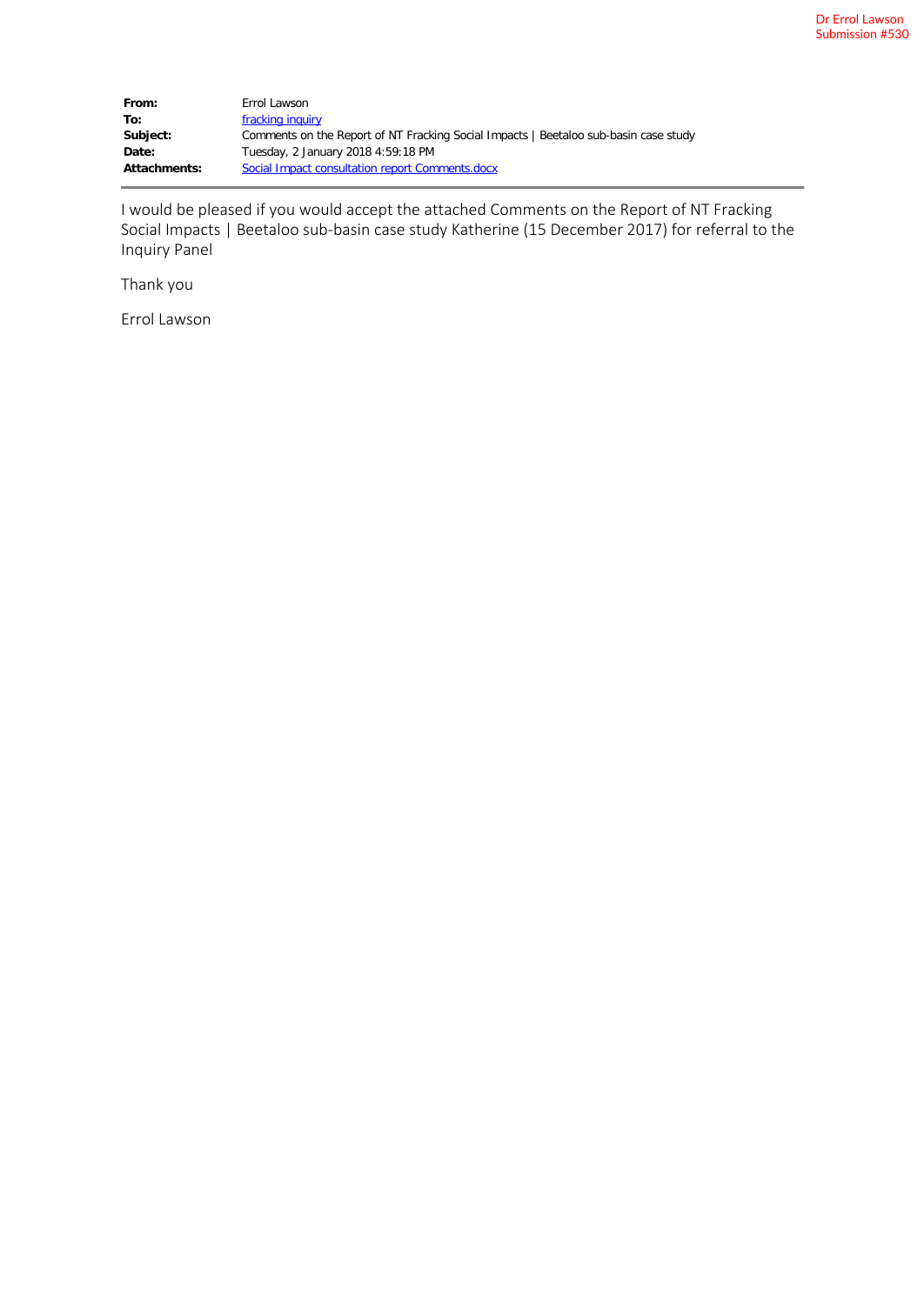| From:               | Errol Lawson                                                                         |
|---------------------|--------------------------------------------------------------------------------------|
| To:                 | fracking inquiry                                                                     |
| Subject:            | Comments on the Report of NT Fracking Social Impacts   Beetaloo sub-basin case study |
| Date:               | Tuesday, 2 January 2018 4:59:18 PM                                                   |
| <b>Attachments:</b> | Social Impact consultation report Comments.docx                                      |

I would be pleased if you would accept the attached Comments on the Report of NT Fracking Social Impacts | Beetaloo sub-basin case study Katherine (15 December 2017) for referral to the Inquiry Panel

Thank you

Errol Lawson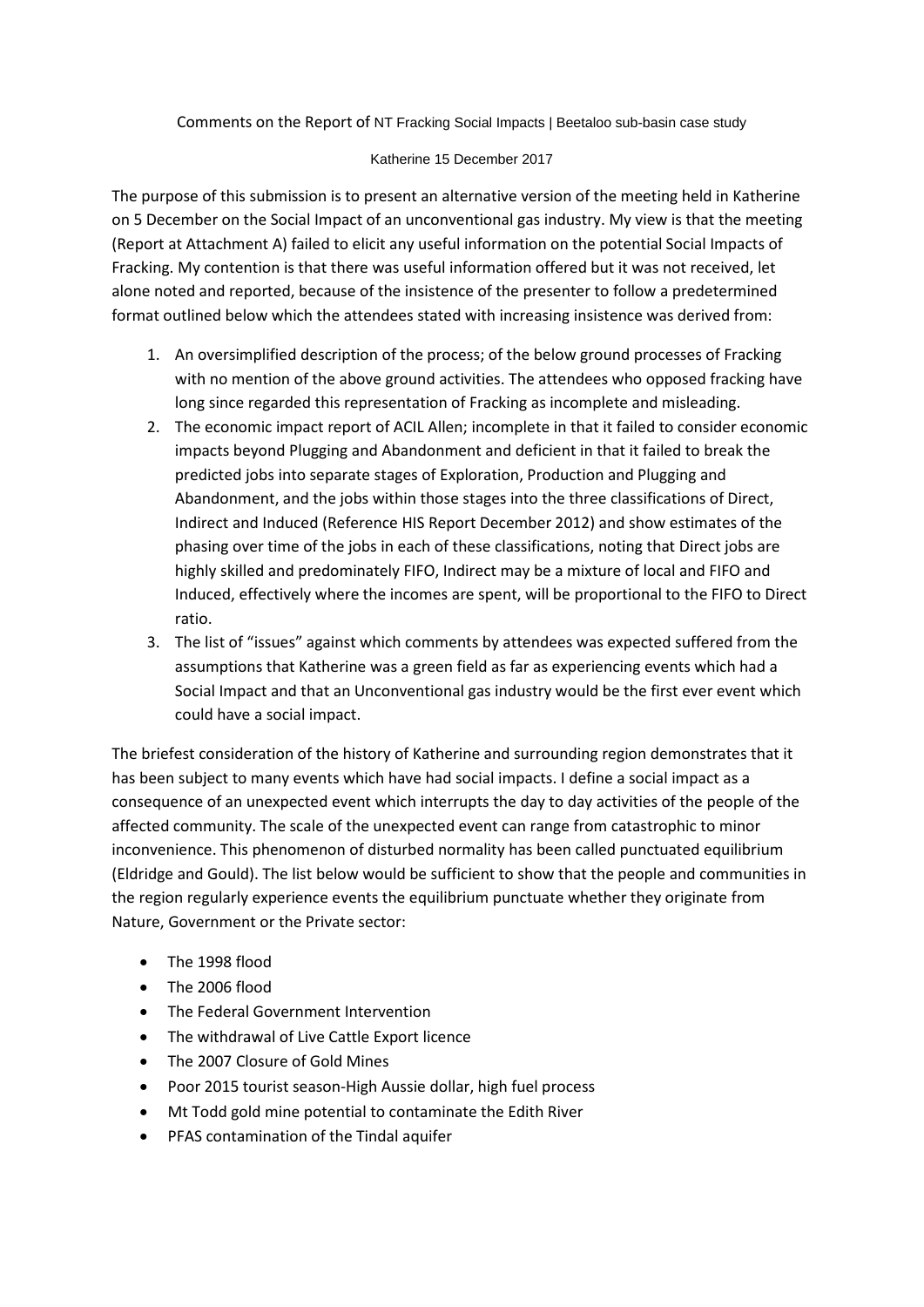Comments on the Report of NT Fracking Social Impacts | Beetaloo sub-basin case study

#### Katherine 15 December 2017

The purpose of this submission is to present an alternative version of the meeting held in Katherine on 5 December on the Social Impact of an unconventional gas industry. My view is that the meeting (Report at Attachment A) failed to elicit any useful information on the potential Social Impacts of Fracking. My contention is that there was useful information offered but it was not received, let alone noted and reported, because of the insistence of the presenter to follow a predetermined format outlined below which the attendees stated with increasing insistence was derived from:

- 1. An oversimplified description of the process; of the below ground processes of Fracking with no mention of the above ground activities. The attendees who opposed fracking have long since regarded this representation of Fracking as incomplete and misleading.
- 2. The economic impact report of ACIL Allen; incomplete in that it failed to consider economic impacts beyond Plugging and Abandonment and deficient in that it failed to break the predicted jobs into separate stages of Exploration, Production and Plugging and Abandonment, and the jobs within those stages into the three classifications of Direct, Indirect and Induced (Reference HIS Report December 2012) and show estimates of the phasing over time of the jobs in each of these classifications, noting that Direct jobs are highly skilled and predominately FIFO, Indirect may be a mixture of local and FIFO and Induced, effectively where the incomes are spent, will be proportional to the FIFO to Direct ratio.
- 3. The list of "issues" against which comments by attendees was expected suffered from the assumptions that Katherine was a green field as far as experiencing events which had a Social Impact and that an Unconventional gas industry would be the first ever event which could have a social impact.

The briefest consideration of the history of Katherine and surrounding region demonstrates that it has been subject to many events which have had social impacts. I define a social impact as a consequence of an unexpected event which interrupts the day to day activities of the people of the affected community. The scale of the unexpected event can range from catastrophic to minor inconvenience. This phenomenon of disturbed normality has been called punctuated equilibrium (Eldridge and Gould). The list below would be sufficient to show that the people and communities in the region regularly experience events the equilibrium punctuate whether they originate from Nature, Government or the Private sector:

- The 1998 flood
- The 2006 flood
- The Federal Government Intervention
- The withdrawal of Live Cattle Export licence
- The 2007 Closure of Gold Mines
- Poor 2015 tourist season-High Aussie dollar, high fuel process
- Mt Todd gold mine potential to contaminate the Edith River
- PFAS contamination of the Tindal aquifer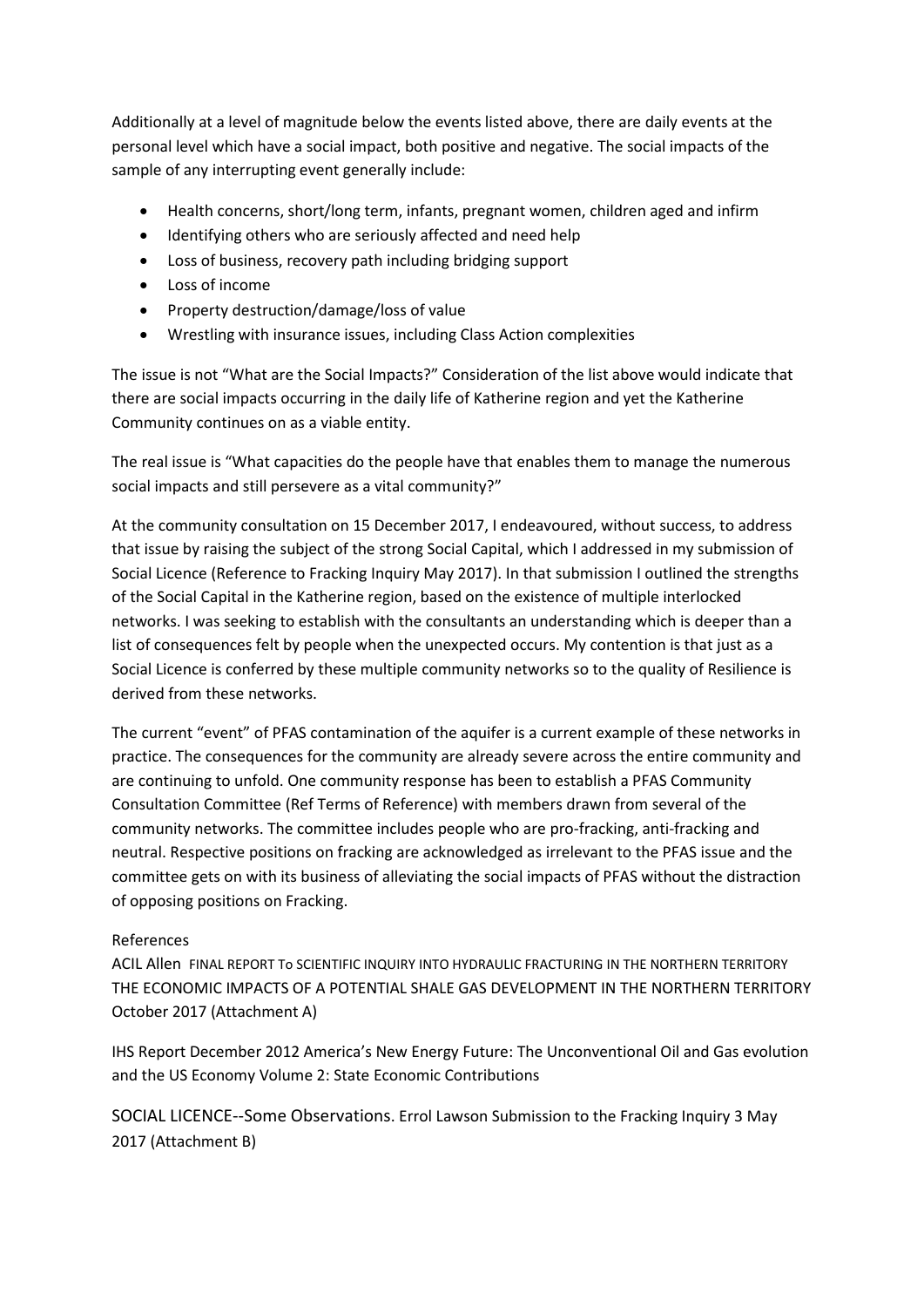Additionally at a level of magnitude below the events listed above, there are daily events at the personal level which have a social impact, both positive and negative. The social impacts of the sample of any interrupting event generally include:

- Health concerns, short/long term, infants, pregnant women, children aged and infirm
- Identifying others who are seriously affected and need help
- Loss of business, recovery path including bridging support
- Loss of income
- Property destruction/damage/loss of value
- Wrestling with insurance issues, including Class Action complexities

The issue is not "What are the Social Impacts?" Consideration of the list above would indicate that there are social impacts occurring in the daily life of Katherine region and yet the Katherine Community continues on as a viable entity.

The real issue is "What capacities do the people have that enables them to manage the numerous social impacts and still persevere as a vital community?"

At the community consultation on 15 December 2017, I endeavoured, without success, to address that issue by raising the subject of the strong Social Capital, which I addressed in my submission of Social Licence (Reference to Fracking Inquiry May 2017). In that submission I outlined the strengths of the Social Capital in the Katherine region, based on the existence of multiple interlocked networks. I was seeking to establish with the consultants an understanding which is deeper than a list of consequences felt by people when the unexpected occurs. My contention is that just as a Social Licence is conferred by these multiple community networks so to the quality of Resilience is derived from these networks.

The current "event" of PFAS contamination of the aquifer is a current example of these networks in practice. The consequences for the community are already severe across the entire community and are continuing to unfold. One community response has been to establish a PFAS Community Consultation Committee (Ref Terms of Reference) with members drawn from several of the community networks. The committee includes people who are pro-fracking, anti-fracking and neutral. Respective positions on fracking are acknowledged as irrelevant to the PFAS issue and the committee gets on with its business of alleviating the social impacts of PFAS without the distraction of opposing positions on Fracking.

#### References

ACIL Allen FINAL REPORT To SCIENTIFIC INQUIRY INTO HYDRAULIC FRACTURING IN THE NORTHERN TERRITORY THE ECONOMIC IMPACTS OF A POTENTIAL SHALE GAS DEVELOPMENT IN THE NORTHERN TERRITORY October 2017 (Attachment A)

IHS Report December 2012 America's New Energy Future: The Unconventional Oil and Gas evolution and the US Economy Volume 2: State Economic Contributions

SOCIAL LICENCE--Some Observations. Errol Lawson Submission to the Fracking Inquiry 3 May 2017 (Attachment B)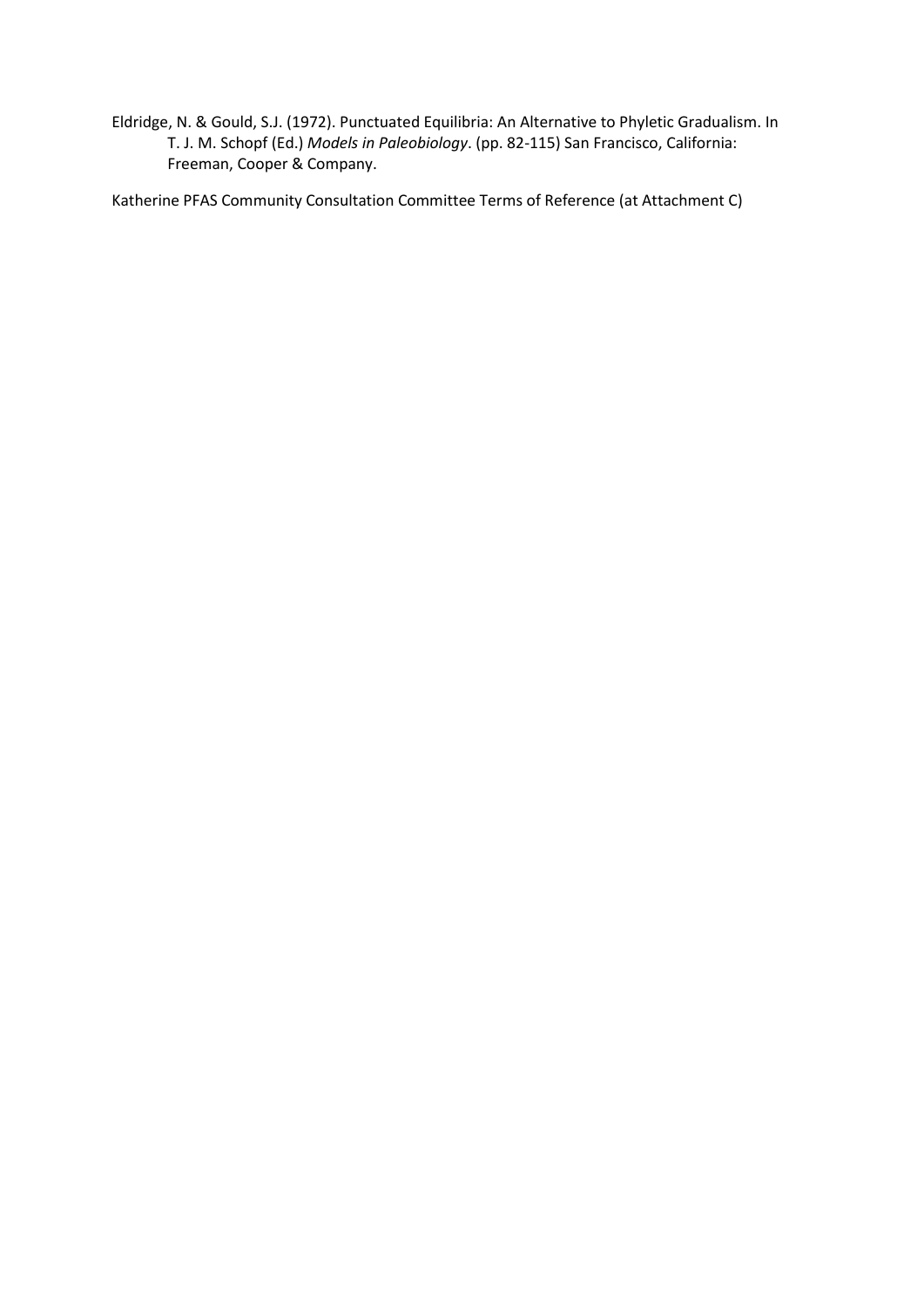Eldridge, N. & Gould, S.J. (1972). Punctuated Equilibria: An Alternative to Phyletic Gradualism. In T. J. M. Schopf (Ed.) *Models in Paleobiology*. (pp. 82-115) San Francisco, California: Freeman, Cooper & Company.

Katherine PFAS Community Consultation Committee Terms of Reference (at Attachment C)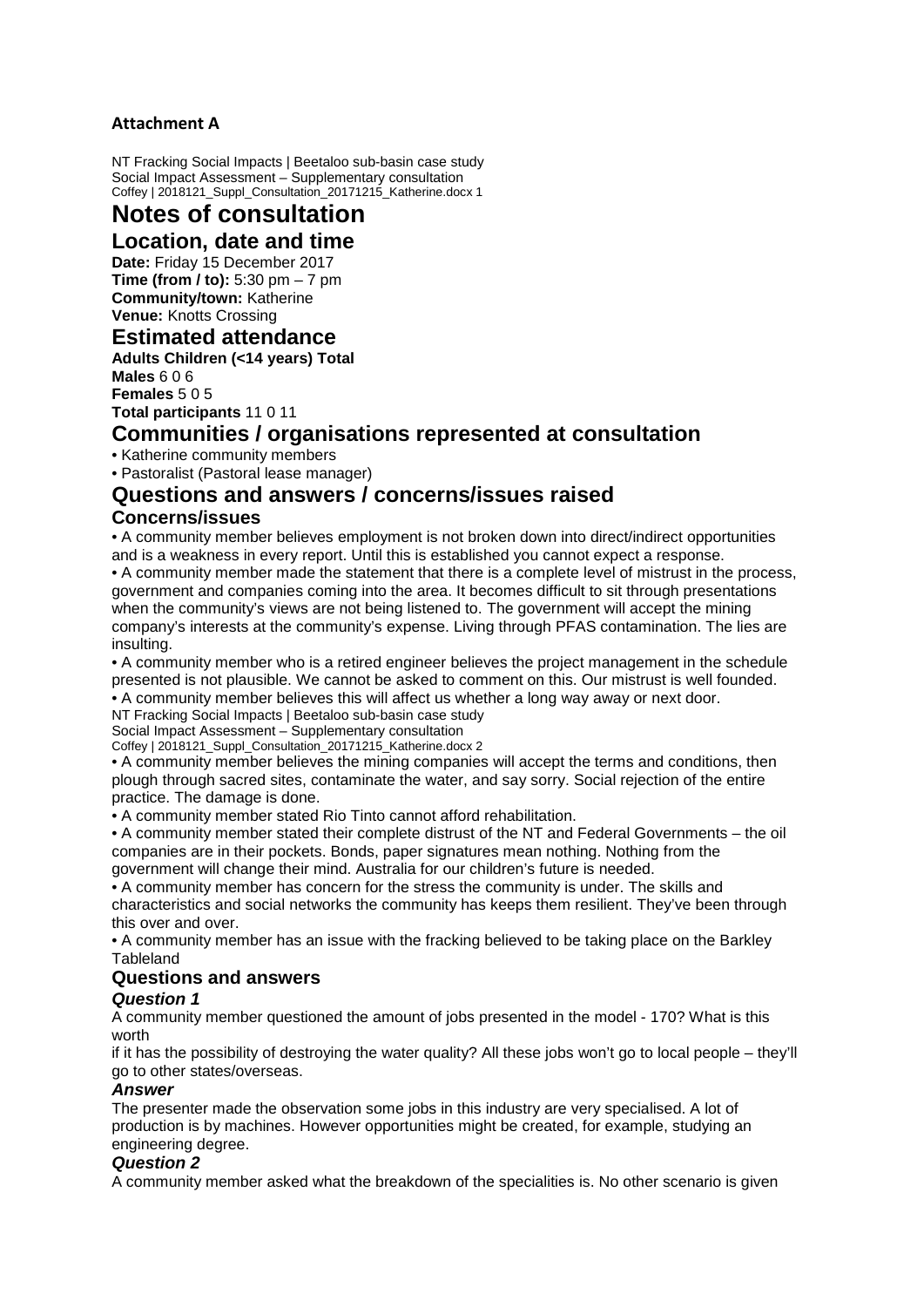### **Attachment A**

NT Fracking Social Impacts | Beetaloo sub-basin case study Social Impact Assessment – Supplementary consultation Coffey | 2018121\_Suppl\_Consultation\_20171215\_Katherine.docx 1

# **Notes of consultation**

## **Location, date and time**

**Date:** Friday 15 December 2017 **Time (from / to):** 5:30 pm – 7 pm **Community/town:** Katherine **Venue:** Knotts Crossing

### **Estimated attendance**

**Adults Children (<14 years) Total Males** 6 0 6

**Females** 5 0 5 **Total participants** 11 0 11

### **Communities / organisations represented at consultation**

• Katherine community members

• Pastoralist (Pastoral lease manager)

## **Questions and answers / concerns/issues raised**

#### **Concerns/issues**

• A community member believes employment is not broken down into direct/indirect opportunities and is a weakness in every report. Until this is established you cannot expect a response. • A community member made the statement that there is a complete level of mistrust in the process, government and companies coming into the area. It becomes difficult to sit through presentations when the community's views are not being listened to. The government will accept the mining company's interests at the community's expense. Living through PFAS contamination. The lies are insulting.

• A community member who is a retired engineer believes the project management in the schedule presented is not plausible. We cannot be asked to comment on this. Our mistrust is well founded. • A community member believes this will affect us whether a long way away or next door.

NT Fracking Social Impacts | Beetaloo sub-basin case study

Social Impact Assessment – Supplementary consultation

Coffey | 2018121\_Suppl\_Consultation\_20171215\_Katherine.docx 2

• A community member believes the mining companies will accept the terms and conditions, then plough through sacred sites, contaminate the water, and say sorry. Social rejection of the entire practice. The damage is done.

• A community member stated Rio Tinto cannot afford rehabilitation.

• A community member stated their complete distrust of the NT and Federal Governments – the oil companies are in their pockets. Bonds, paper signatures mean nothing. Nothing from the government will change their mind. Australia for our children's future is needed.

• A community member has concern for the stress the community is under. The skills and characteristics and social networks the community has keeps them resilient. They've been through this over and over.

• A community member has an issue with the fracking believed to be taking place on the Barkley **Tableland** 

#### **Questions and answers**

#### *Question 1*

A community member questioned the amount of jobs presented in the model - 170? What is this worth

if it has the possibility of destroying the water quality? All these jobs won't go to local people – they'll go to other states/overseas.

#### *Answer*

The presenter made the observation some jobs in this industry are very specialised. A lot of production is by machines. However opportunities might be created, for example, studying an engineering degree.

#### *Question 2*

A community member asked what the breakdown of the specialities is. No other scenario is given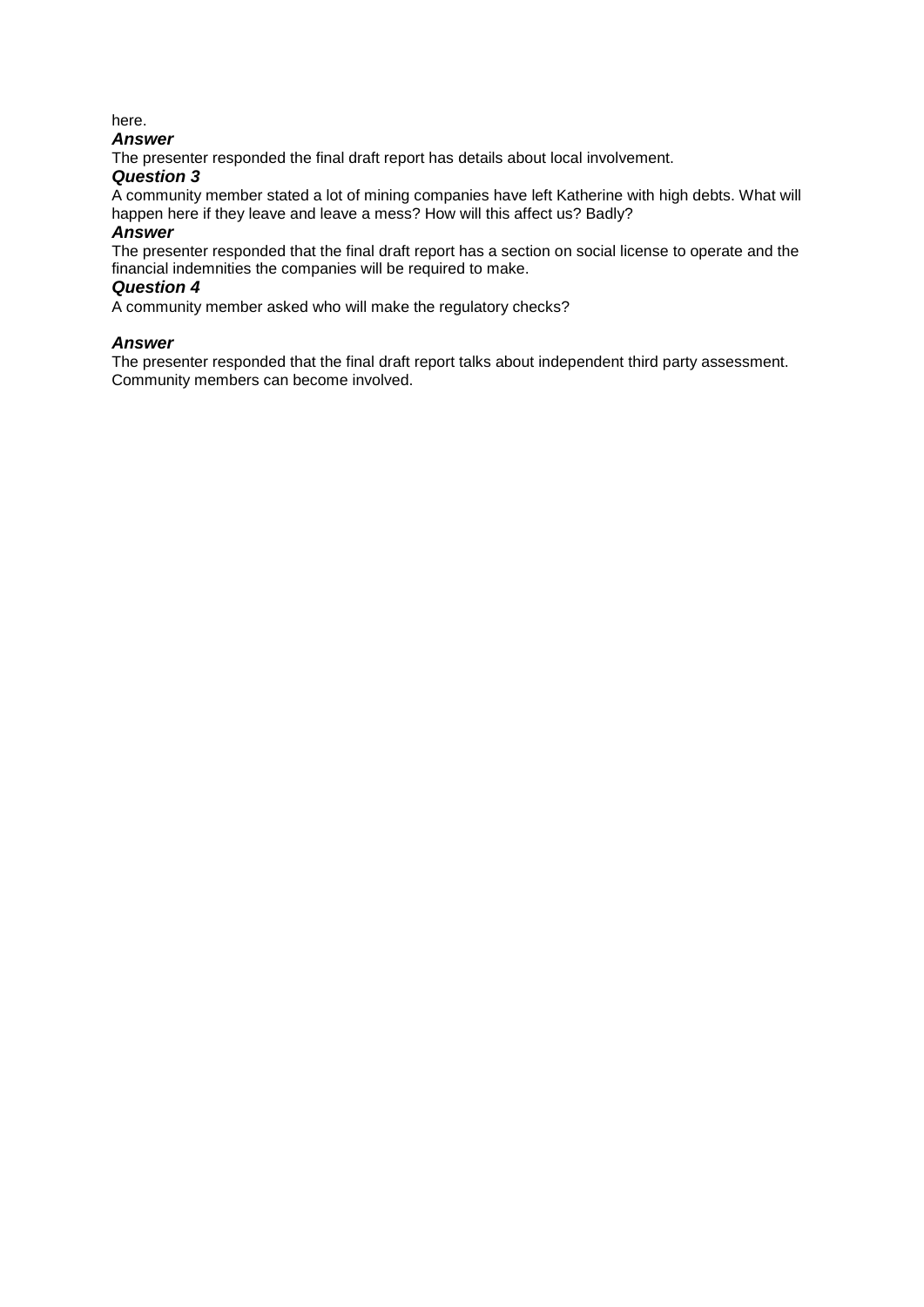#### here.

#### *Answer*

The presenter responded the final draft report has details about local involvement.

#### *Question 3*

A community member stated a lot of mining companies have left Katherine with high debts. What will happen here if they leave and leave a mess? How will this affect us? Badly?

#### *Answer*

The presenter responded that the final draft report has a section on social license to operate and the financial indemnities the companies will be required to make.

#### *Question 4*

A community member asked who will make the regulatory checks?

#### *Answer*

The presenter responded that the final draft report talks about independent third party assessment. Community members can become involved.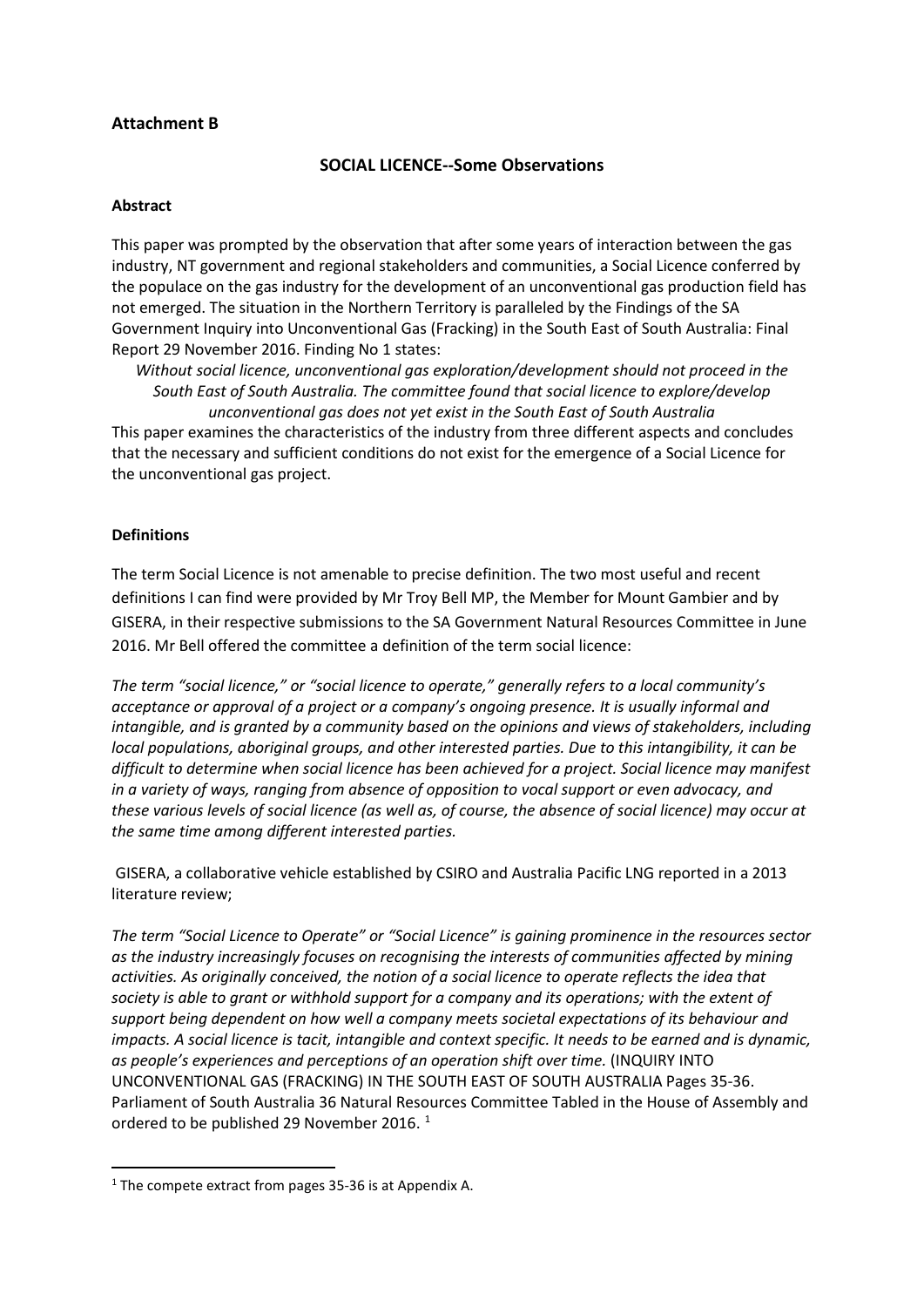#### **Attachment B**

#### **SOCIAL LICENCE--Some Observations**

#### **Abstract**

This paper was prompted by the observation that after some years of interaction between the gas industry, NT government and regional stakeholders and communities, a Social Licence conferred by the populace on the gas industry for the development of an unconventional gas production field has not emerged. The situation in the Northern Territory is paralleled by the Findings of the SA Government Inquiry into Unconventional Gas (Fracking) in the South East of South Australia: Final Report 29 November 2016. Finding No 1 states:

*Without social licence, unconventional gas exploration/development should not proceed in the South East of South Australia. The committee found that social licence to explore/develop unconventional gas does not yet exist in the South East of South Australia*

This paper examines the characteristics of the industry from three different aspects and concludes that the necessary and sufficient conditions do not exist for the emergence of a Social Licence for the unconventional gas project.

#### **Definitions**

The term Social Licence is not amenable to precise definition. The two most useful and recent definitions I can find were provided by Mr Troy Bell MP, the Member for Mount Gambier and by GISERA, in their respective submissions to the SA Government Natural Resources Committee in June 2016. Mr Bell offered the committee a definition of the term social licence:

*The term "social licence," or "social licence to operate," generally refers to a local community's acceptance or approval of a project or a company's ongoing presence. It is usually informal and intangible, and is granted by a community based on the opinions and views of stakeholders, including local populations, aboriginal groups, and other interested parties. Due to this intangibility, it can be difficult to determine when social licence has been achieved for a project. Social licence may manifest in a variety of ways, ranging from absence of opposition to vocal support or even advocacy, and these various levels of social licence (as well as, of course, the absence of social licence) may occur at the same time among different interested parties.*

GISERA, a collaborative vehicle established by CSIRO and Australia Pacific LNG reported in a 2013 literature review;

*The term "Social Licence to Operate" or "Social Licence" is gaining prominence in the resources sector as the industry increasingly focuses on recognising the interests of communities affected by mining activities. As originally conceived, the notion of a social licence to operate reflects the idea that society is able to grant or withhold support for a company and its operations; with the extent of support being dependent on how well a company meets societal expectations of its behaviour and impacts. A social licence is tacit, intangible and context specific. It needs to be earned and is dynamic, as people's experiences and perceptions of an operation shift over time.* (INQUIRY INTO UNCONVENTIONAL GAS (FRACKING) IN THE SOUTH EAST OF SOUTH AUSTRALIA Pages 35-36. Parliament of South Australia 36 Natural Resources Committee Tabled in the House of Assembly and ordered to be published 29 November 20[1](#page-6-0)6.<sup>1</sup>

<span id="page-6-0"></span> $1$  The compete extract from pages 35-36 is at Appendix A.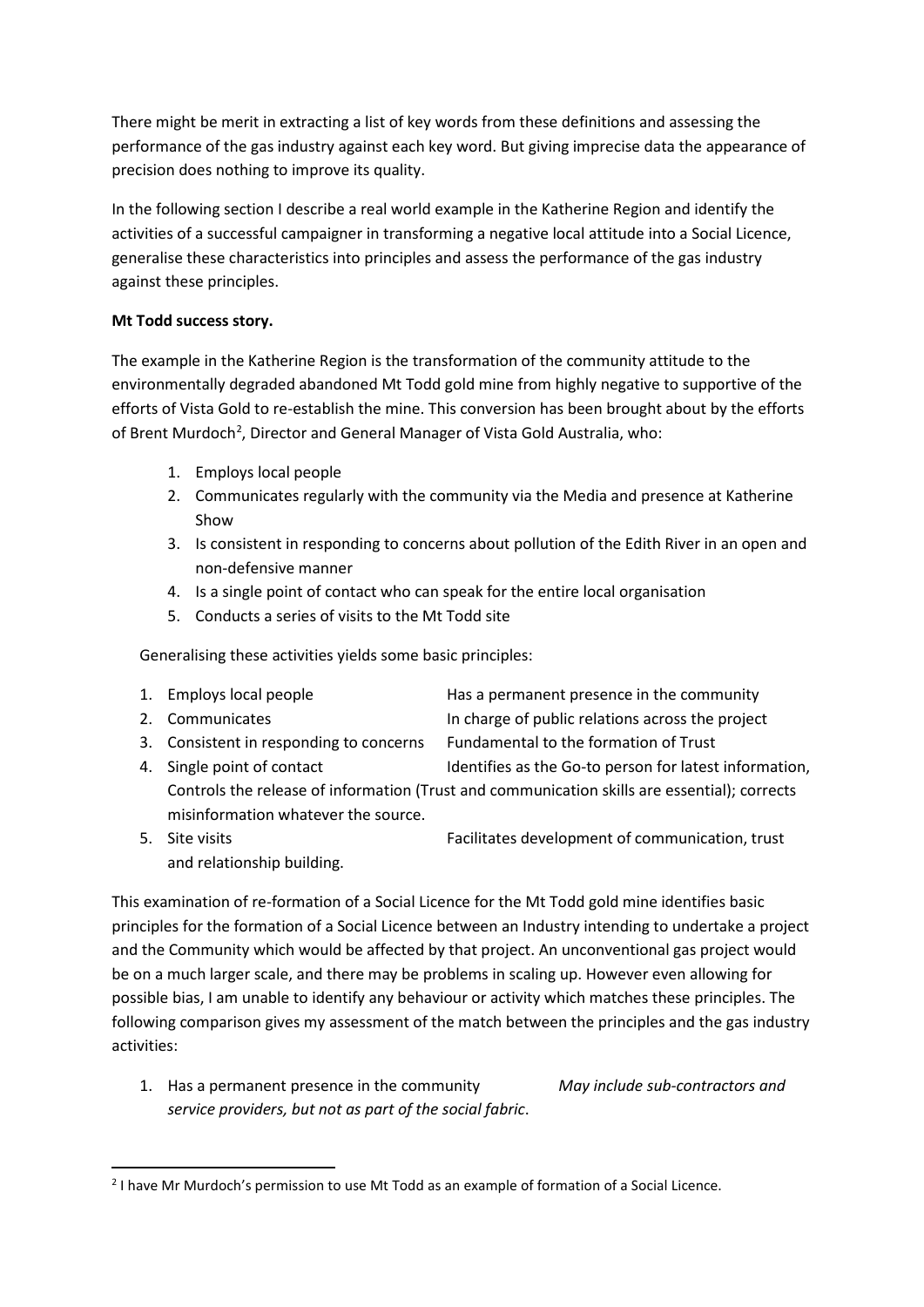There might be merit in extracting a list of key words from these definitions and assessing the performance of the gas industry against each key word. But giving imprecise data the appearance of precision does nothing to improve its quality.

In the following section I describe a real world example in the Katherine Region and identify the activities of a successful campaigner in transforming a negative local attitude into a Social Licence, generalise these characteristics into principles and assess the performance of the gas industry against these principles.

#### **Mt Todd success story.**

The example in the Katherine Region is the transformation of the community attitude to the environmentally degraded abandoned Mt Todd gold mine from highly negative to supportive of the efforts of Vista Gold to re-establish the mine. This conversion has been brought about by the efforts of Brent Murdoch<sup>2</sup>, Director and General Manager of Vista Gold Australia, who:

- 1. Employs local people
- 2. Communicates regularly with the community via the Media and presence at Katherine Show
- 3. Is consistent in responding to concerns about pollution of the Edith River in an open and non-defensive manner
- 4. Is a single point of contact who can speak for the entire local organisation
- 5. Conducts a series of visits to the Mt Todd site

Generalising these activities yields some basic principles:

| 1. Employs local people                                                                      | Has a permanent presence in the community              |  |  |  |  |
|----------------------------------------------------------------------------------------------|--------------------------------------------------------|--|--|--|--|
| 2. Communicates                                                                              | In charge of public relations across the project       |  |  |  |  |
| 3. Consistent in responding to concerns                                                      | Fundamental to the formation of Trust                  |  |  |  |  |
| 4. Single point of contact                                                                   | Identifies as the Go-to person for latest information, |  |  |  |  |
| Controls the release of information (Trust and communication skills are essential); corrects |                                                        |  |  |  |  |
| misinformation whatever the source.                                                          |                                                        |  |  |  |  |

and relationship building.

5. Site visits Facilitates development of communication, trust

This examination of re-formation of a Social Licence for the Mt Todd gold mine identifies basic principles for the formation of a Social Licence between an Industry intending to undertake a project and the Community which would be affected by that project. An unconventional gas project would be on a much larger scale, and there may be problems in scaling up. However even allowing for possible bias, I am unable to identify any behaviour or activity which matches these principles. The following comparison gives my assessment of the match between the principles and the gas industry activities:

1. Has a permanent presence in the community *May include sub-contractors and service providers, but not as part of the social fabric*.

<span id="page-7-0"></span> <sup>2</sup> I have Mr Murdoch's permission to use Mt Todd as an example of formation of a Social Licence.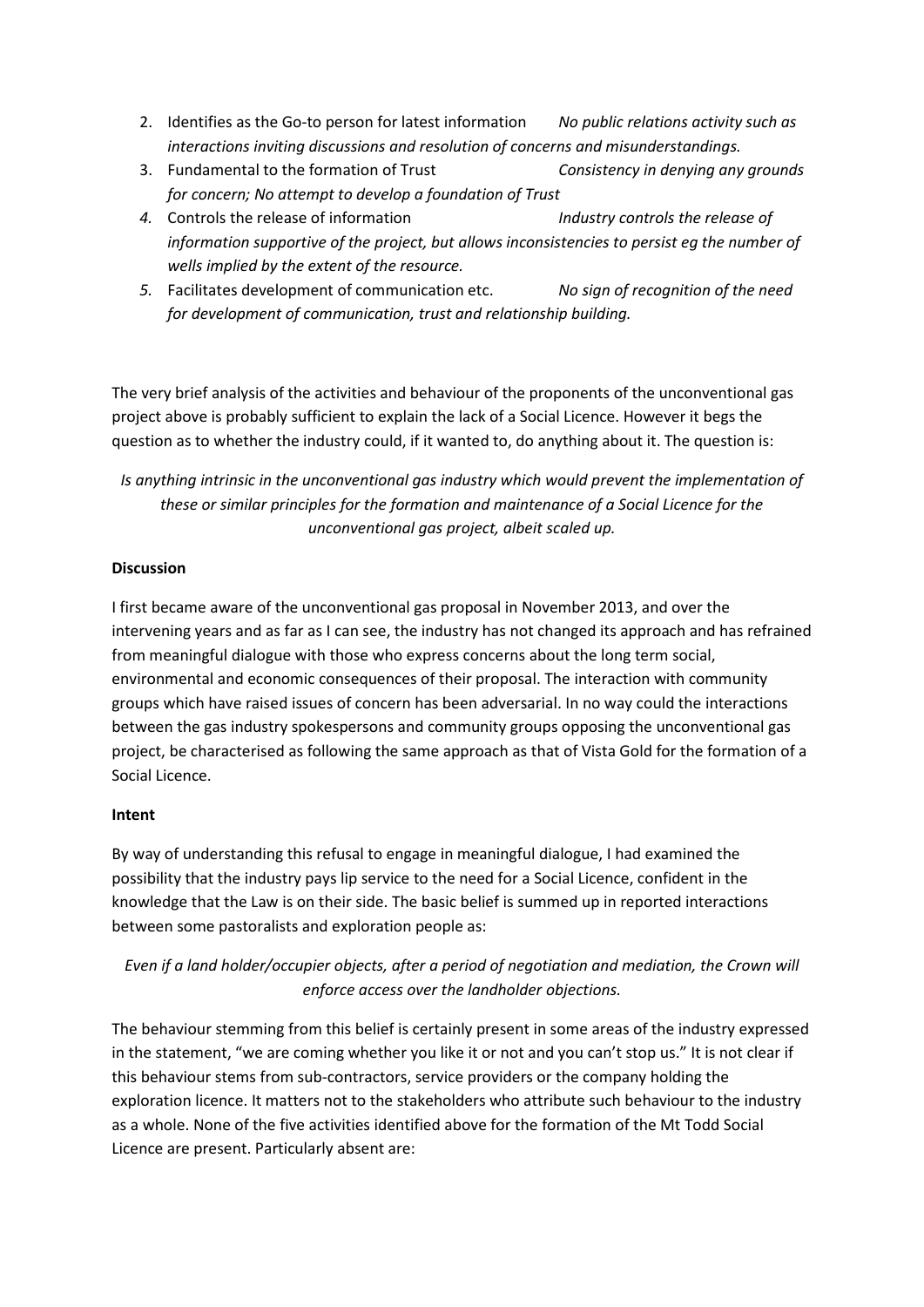- 2. Identifies as the Go-to person for latest information *No public relations activity such as interactions inviting discussions and resolution of concerns and misunderstandings.*
- 3. Fundamental to the formation of Trust *Consistency in denying any grounds for concern; No attempt to develop a foundation of Trust*
- *4.* Controls the release of information *Industry controls the release of information supportive of the project, but allows inconsistencies to persist eg the number of wells implied by the extent of the resource.*
- *5.* Facilitates development of communication etc. *No sign of recognition of the need for development of communication, trust and relationship building.*

The very brief analysis of the activities and behaviour of the proponents of the unconventional gas project above is probably sufficient to explain the lack of a Social Licence. However it begs the question as to whether the industry could, if it wanted to, do anything about it. The question is:

### *Is anything intrinsic in the unconventional gas industry which would prevent the implementation of these or similar principles for the formation and maintenance of a Social Licence for the unconventional gas project, albeit scaled up.*

#### **Discussion**

I first became aware of the unconventional gas proposal in November 2013, and over the intervening years and as far as I can see, the industry has not changed its approach and has refrained from meaningful dialogue with those who express concerns about the long term social, environmental and economic consequences of their proposal. The interaction with community groups which have raised issues of concern has been adversarial. In no way could the interactions between the gas industry spokespersons and community groups opposing the unconventional gas project, be characterised as following the same approach as that of Vista Gold for the formation of a Social Licence.

#### **Intent**

By way of understanding this refusal to engage in meaningful dialogue, I had examined the possibility that the industry pays lip service to the need for a Social Licence, confident in the knowledge that the Law is on their side. The basic belief is summed up in reported interactions between some pastoralists and exploration people as:

### *Even if a land holder/occupier objects, after a period of negotiation and mediation, the Crown will enforce access over the landholder objections.*

The behaviour stemming from this belief is certainly present in some areas of the industry expressed in the statement, "we are coming whether you like it or not and you can't stop us." It is not clear if this behaviour stems from sub-contractors, service providers or the company holding the exploration licence. It matters not to the stakeholders who attribute such behaviour to the industry as a whole. None of the five activities identified above for the formation of the Mt Todd Social Licence are present. Particularly absent are: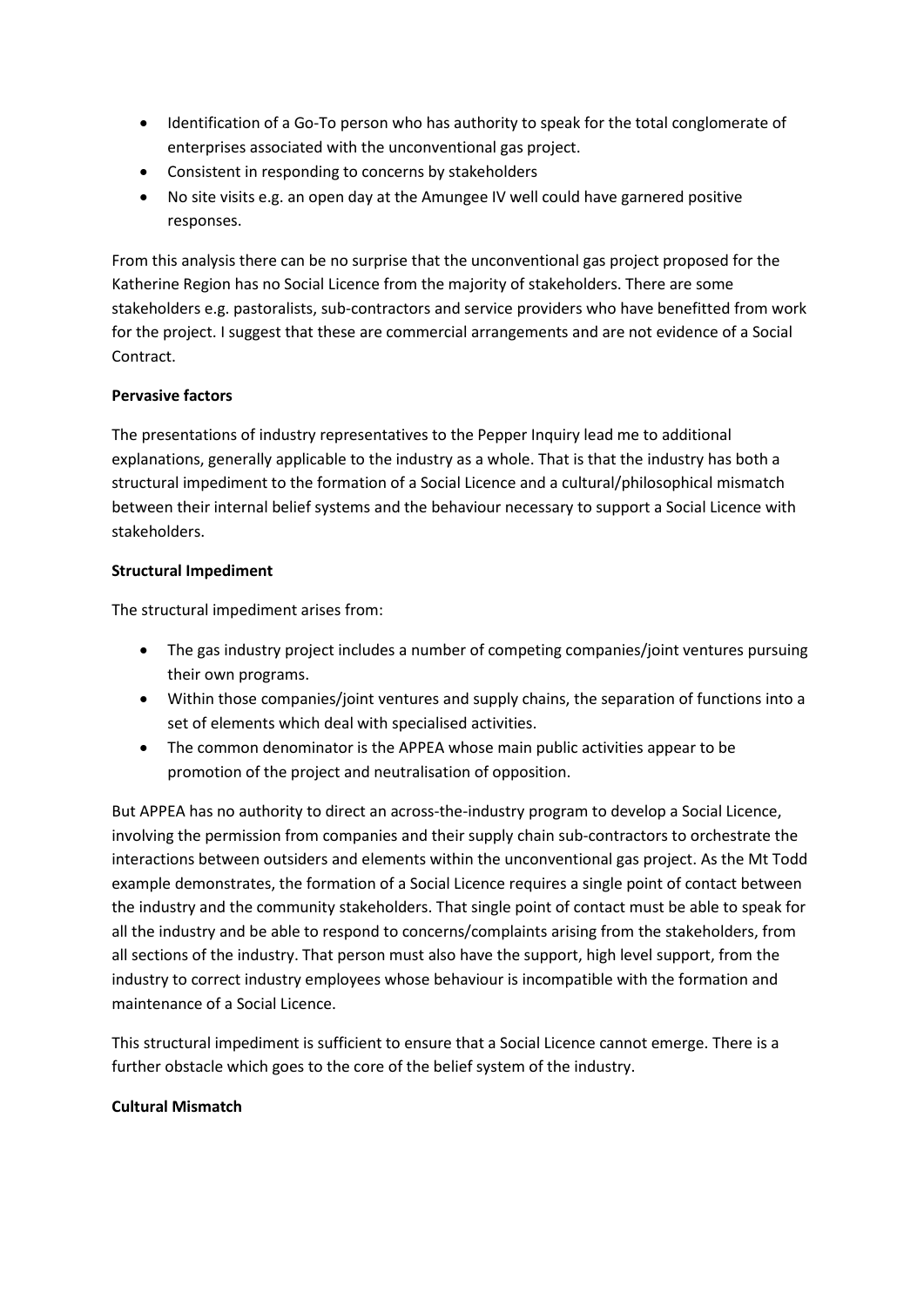- Identification of a Go-To person who has authority to speak for the total conglomerate of enterprises associated with the unconventional gas project.
- Consistent in responding to concerns by stakeholders
- No site visits e.g. an open day at the Amungee IV well could have garnered positive responses.

From this analysis there can be no surprise that the unconventional gas project proposed for the Katherine Region has no Social Licence from the majority of stakeholders. There are some stakeholders e.g. pastoralists, sub-contractors and service providers who have benefitted from work for the project. I suggest that these are commercial arrangements and are not evidence of a Social Contract.

#### **Pervasive factors**

The presentations of industry representatives to the Pepper Inquiry lead me to additional explanations, generally applicable to the industry as a whole. That is that the industry has both a structural impediment to the formation of a Social Licence and a cultural/philosophical mismatch between their internal belief systems and the behaviour necessary to support a Social Licence with stakeholders.

#### **Structural Impediment**

The structural impediment arises from:

- The gas industry project includes a number of competing companies/joint ventures pursuing their own programs.
- Within those companies/joint ventures and supply chains, the separation of functions into a set of elements which deal with specialised activities.
- The common denominator is the APPEA whose main public activities appear to be promotion of the project and neutralisation of opposition.

But APPEA has no authority to direct an across-the-industry program to develop a Social Licence, involving the permission from companies and their supply chain sub-contractors to orchestrate the interactions between outsiders and elements within the unconventional gas project. As the Mt Todd example demonstrates, the formation of a Social Licence requires a single point of contact between the industry and the community stakeholders. That single point of contact must be able to speak for all the industry and be able to respond to concerns/complaints arising from the stakeholders, from all sections of the industry. That person must also have the support, high level support, from the industry to correct industry employees whose behaviour is incompatible with the formation and maintenance of a Social Licence.

This structural impediment is sufficient to ensure that a Social Licence cannot emerge. There is a further obstacle which goes to the core of the belief system of the industry.

#### **Cultural Mismatch**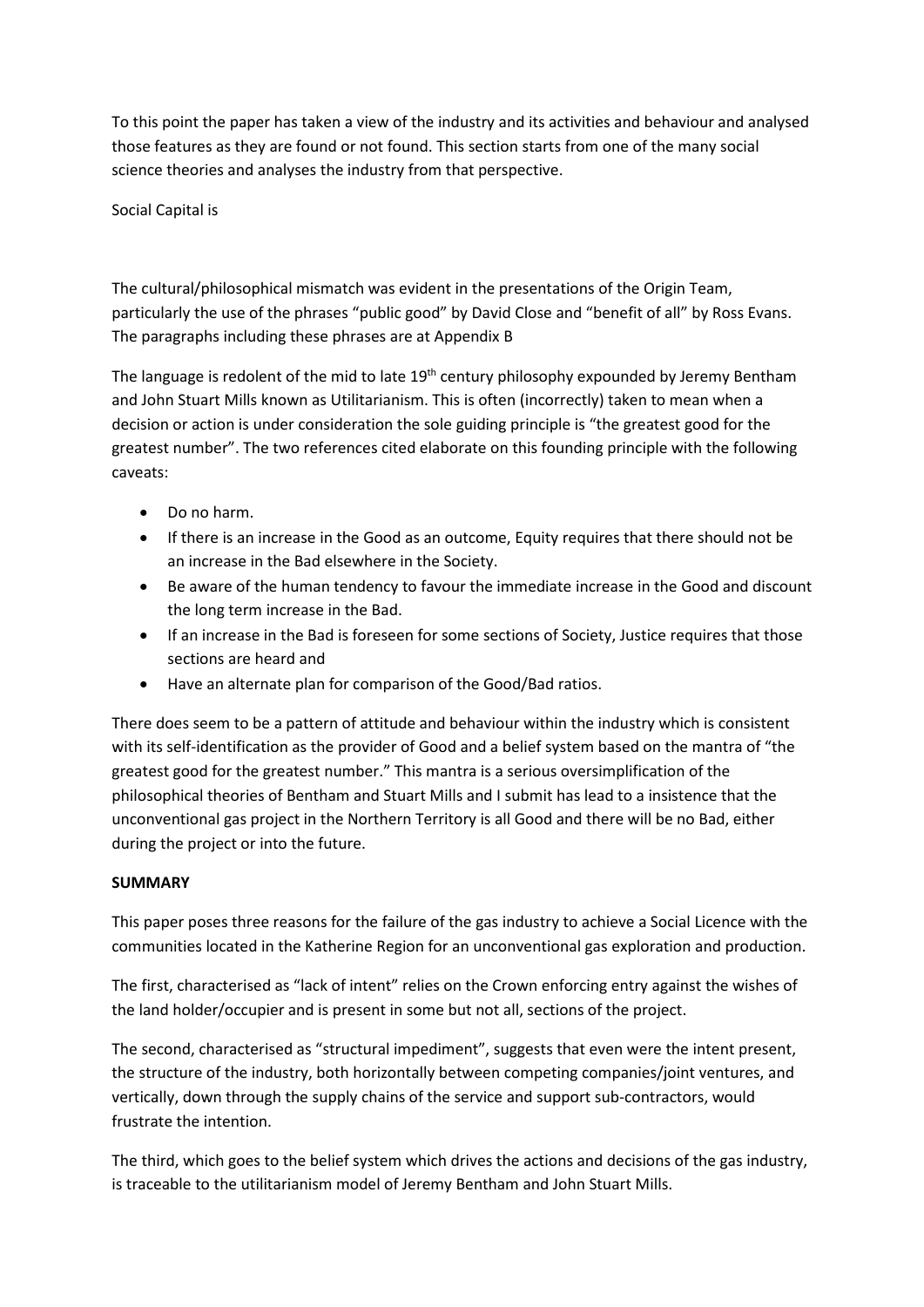To this point the paper has taken a view of the industry and its activities and behaviour and analysed those features as they are found or not found. This section starts from one of the many social science theories and analyses the industry from that perspective.

Social Capital is

The cultural/philosophical mismatch was evident in the presentations of the Origin Team, particularly the use of the phrases "public good" by David Close and "benefit of all" by Ross Evans. The paragraphs including these phrases are at Appendix B

The language is redolent of the mid to late  $19<sup>th</sup>$  century philosophy expounded by Jeremy Bentham and John Stuart Mills known as Utilitarianism. This is often (incorrectly) taken to mean when a decision or action is under consideration the sole guiding principle is "the greatest good for the greatest number". The two references cited elaborate on this founding principle with the following caveats:

- Do no harm.
- If there is an increase in the Good as an outcome, Equity requires that there should not be an increase in the Bad elsewhere in the Society.
- Be aware of the human tendency to favour the immediate increase in the Good and discount the long term increase in the Bad.
- If an increase in the Bad is foreseen for some sections of Society, Justice requires that those sections are heard and
- Have an alternate plan for comparison of the Good/Bad ratios.

There does seem to be a pattern of attitude and behaviour within the industry which is consistent with its self-identification as the provider of Good and a belief system based on the mantra of "the greatest good for the greatest number." This mantra is a serious oversimplification of the philosophical theories of Bentham and Stuart Mills and I submit has lead to a insistence that the unconventional gas project in the Northern Territory is all Good and there will be no Bad, either during the project or into the future.

#### **SUMMARY**

This paper poses three reasons for the failure of the gas industry to achieve a Social Licence with the communities located in the Katherine Region for an unconventional gas exploration and production.

The first, characterised as "lack of intent" relies on the Crown enforcing entry against the wishes of the land holder/occupier and is present in some but not all, sections of the project.

The second, characterised as "structural impediment", suggests that even were the intent present, the structure of the industry, both horizontally between competing companies/joint ventures, and vertically, down through the supply chains of the service and support sub-contractors, would frustrate the intention.

The third, which goes to the belief system which drives the actions and decisions of the gas industry, is traceable to the utilitarianism model of Jeremy Bentham and John Stuart Mills.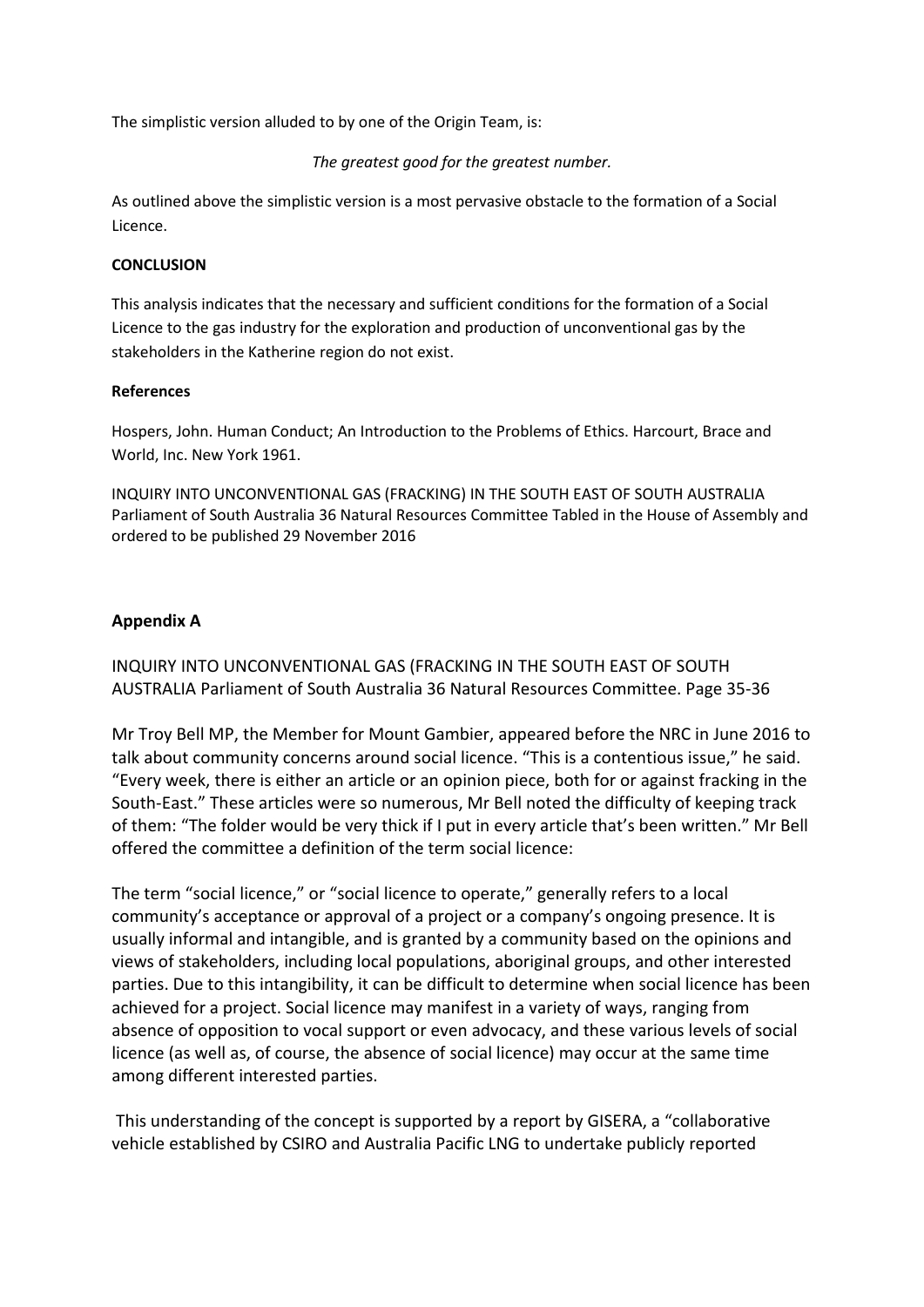The simplistic version alluded to by one of the Origin Team, is:

*The greatest good for the greatest number.*

As outlined above the simplistic version is a most pervasive obstacle to the formation of a Social Licence.

#### **CONCLUSION**

This analysis indicates that the necessary and sufficient conditions for the formation of a Social Licence to the gas industry for the exploration and production of unconventional gas by the stakeholders in the Katherine region do not exist.

#### **References**

Hospers, John. Human Conduct; An Introduction to the Problems of Ethics. Harcourt, Brace and World, Inc. New York 1961.

INQUIRY INTO UNCONVENTIONAL GAS (FRACKING) IN THE SOUTH EAST OF SOUTH AUSTRALIA Parliament of South Australia 36 Natural Resources Committee Tabled in the House of Assembly and ordered to be published 29 November 2016

#### **Appendix A**

INQUIRY INTO UNCONVENTIONAL GAS (FRACKING IN THE SOUTH EAST OF SOUTH AUSTRALIA Parliament of South Australia 36 Natural Resources Committee. Page 35-36

Mr Troy Bell MP, the Member for Mount Gambier, appeared before the NRC in June 2016 to talk about community concerns around social licence. "This is a contentious issue," he said. "Every week, there is either an article or an opinion piece, both for or against fracking in the South-East." These articles were so numerous, Mr Bell noted the difficulty of keeping track of them: "The folder would be very thick if I put in every article that's been written." Mr Bell offered the committee a definition of the term social licence:

The term "social licence," or "social licence to operate," generally refers to a local community's acceptance or approval of a project or a company's ongoing presence. It is usually informal and intangible, and is granted by a community based on the opinions and views of stakeholders, including local populations, aboriginal groups, and other interested parties. Due to this intangibility, it can be difficult to determine when social licence has been achieved for a project. Social licence may manifest in a variety of ways, ranging from absence of opposition to vocal support or even advocacy, and these various levels of social licence (as well as, of course, the absence of social licence) may occur at the same time among different interested parties.

This understanding of the concept is supported by a report by GISERA, a "collaborative vehicle established by CSIRO and Australia Pacific LNG to undertake publicly reported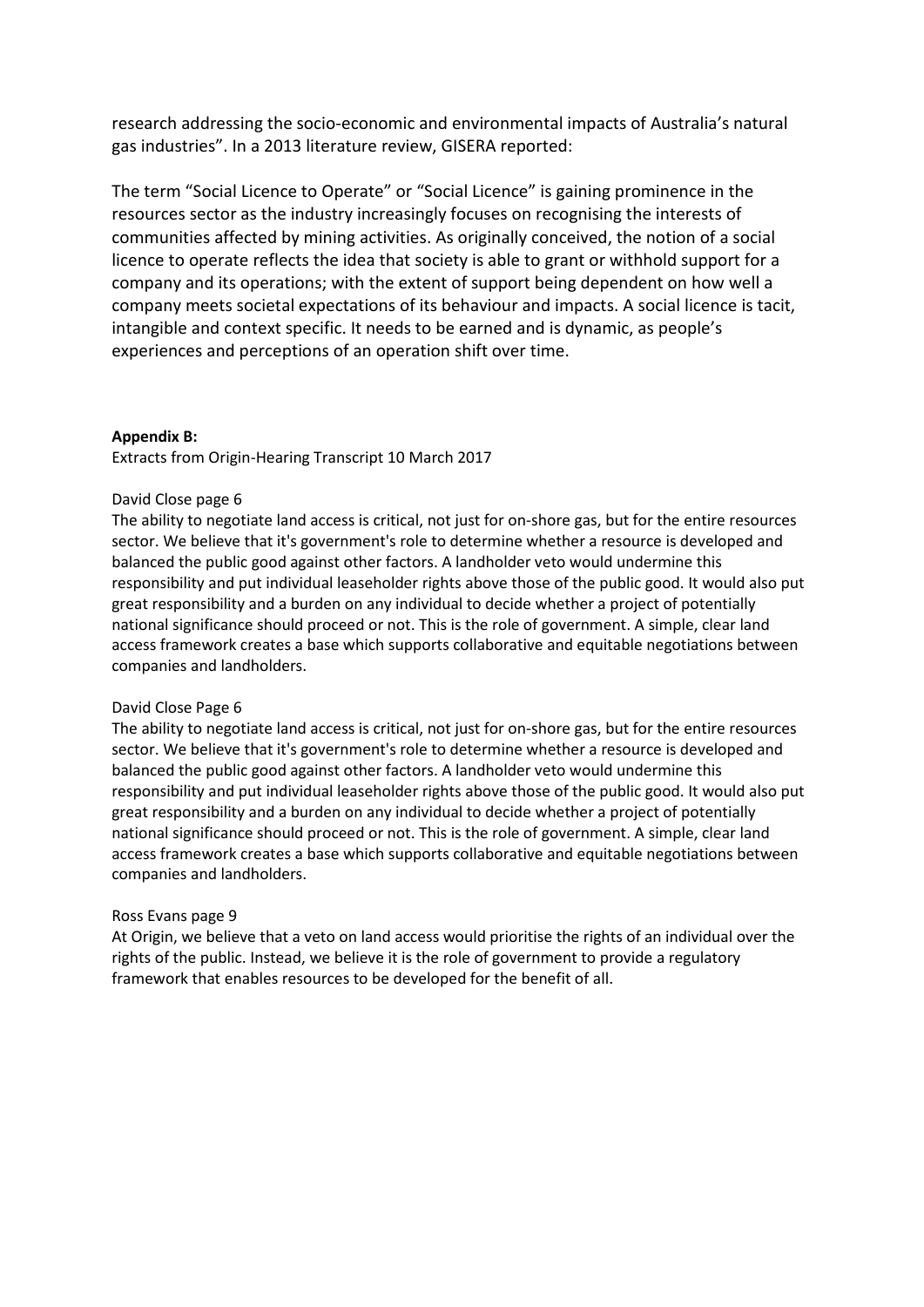research addressing the socio-economic and environmental impacts of Australia's natural gas industries". In a 2013 literature review, GISERA reported:

The term "Social Licence to Operate" or "Social Licence" is gaining prominence in the resources sector as the industry increasingly focuses on recognising the interests of communities affected by mining activities. As originally conceived, the notion of a social licence to operate reflects the idea that society is able to grant or withhold support for a company and its operations; with the extent of support being dependent on how well a company meets societal expectations of its behaviour and impacts. A social licence is tacit, intangible and context specific. It needs to be earned and is dynamic, as people's experiences and perceptions of an operation shift over time.

#### **Appendix B:**

Extracts from Origin-Hearing Transcript 10 March 2017

#### David Close page 6

The ability to negotiate land access is critical, not just for on-shore gas, but for the entire resources sector. We believe that it's government's role to determine whether a resource is developed and balanced the public good against other factors. A landholder veto would undermine this responsibility and put individual leaseholder rights above those of the public good. It would also put great responsibility and a burden on any individual to decide whether a project of potentially national significance should proceed or not. This is the role of government. A simple, clear land access framework creates a base which supports collaborative and equitable negotiations between companies and landholders.

#### David Close Page 6

The ability to negotiate land access is critical, not just for on-shore gas, but for the entire resources sector. We believe that it's government's role to determine whether a resource is developed and balanced the public good against other factors. A landholder veto would undermine this responsibility and put individual leaseholder rights above those of the public good. It would also put great responsibility and a burden on any individual to decide whether a project of potentially national significance should proceed or not. This is the role of government. A simple, clear land access framework creates a base which supports collaborative and equitable negotiations between companies and landholders.

#### Ross Evans page 9

At Origin, we believe that a veto on land access would prioritise the rights of an individual over the rights of the public. Instead, we believe it is the role of government to provide a regulatory framework that enables resources to be developed for the benefit of all.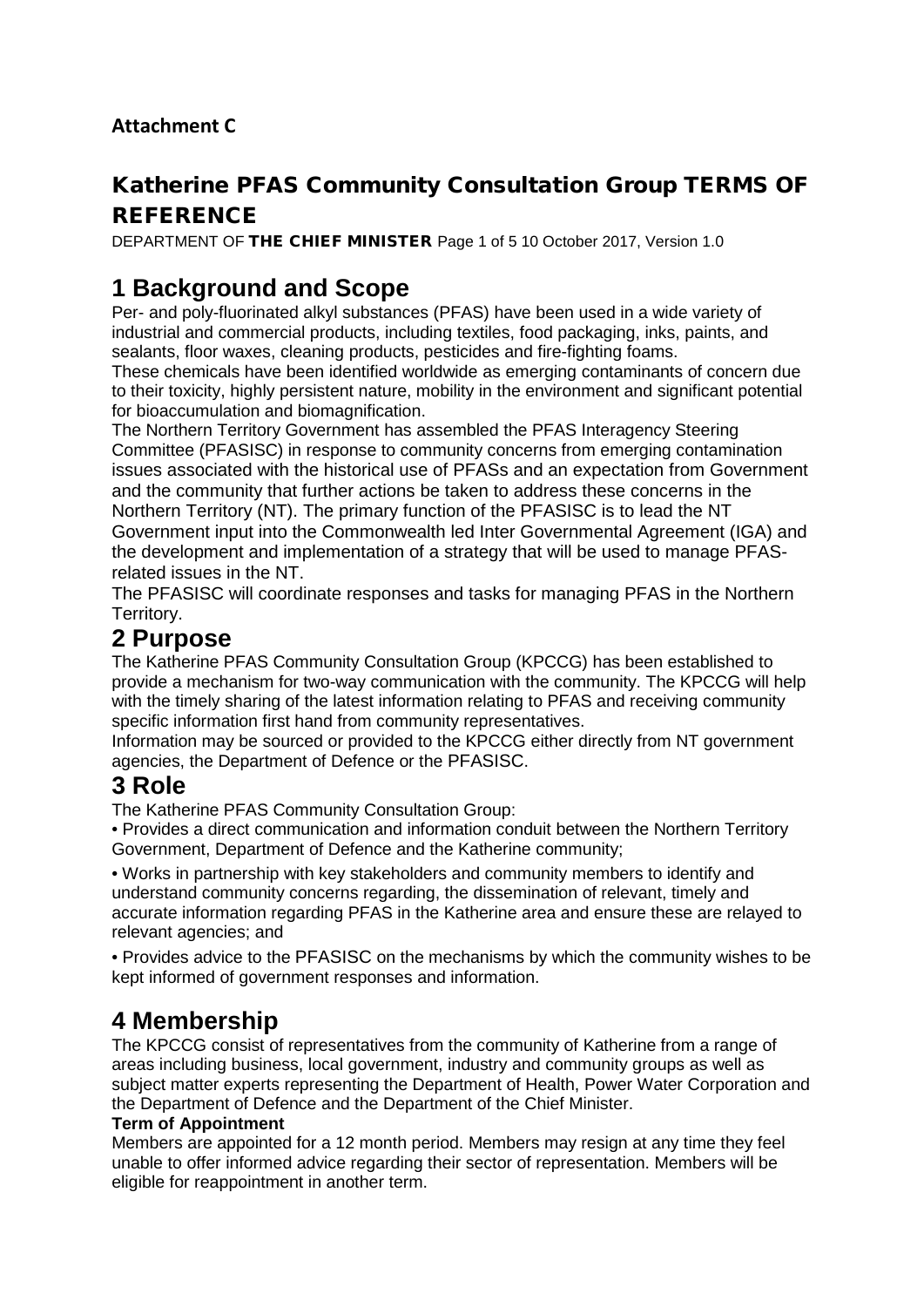## **Attachment C**

## Katherine PFAS Community Consultation Group TERMS OF **REFERENCE**

DEPARTMENT OF THE CHIEF MINISTER Page 1 of 5 10 October 2017, Version 1.0

# **1 Background and Scope**

Per- and poly-fluorinated alkyl substances (PFAS) have been used in a wide variety of industrial and commercial products, including textiles, food packaging, inks, paints, and sealants, floor waxes, cleaning products, pesticides and fire-fighting foams.

These chemicals have been identified worldwide as emerging contaminants of concern due to their toxicity, highly persistent nature, mobility in the environment and significant potential for bioaccumulation and biomagnification.

The Northern Territory Government has assembled the PFAS Interagency Steering Committee (PFASISC) in response to community concerns from emerging contamination issues associated with the historical use of PFASs and an expectation from Government and the community that further actions be taken to address these concerns in the Northern Territory (NT). The primary function of the PFASISC is to lead the NT Government input into the Commonwealth led Inter Governmental Agreement (IGA) and the development and implementation of a strategy that will be used to manage PFASrelated issues in the NT.

The PFASISC will coordinate responses and tasks for managing PFAS in the Northern Territory.

## **2 Purpose**

The Katherine PFAS Community Consultation Group (KPCCG) has been established to provide a mechanism for two-way communication with the community. The KPCCG will help with the timely sharing of the latest information relating to PFAS and receiving community specific information first hand from community representatives.

Information may be sourced or provided to the KPCCG either directly from NT government agencies, the Department of Defence or the PFASISC.

## **3 Role**

The Katherine PFAS Community Consultation Group:

• Provides a direct communication and information conduit between the Northern Territory Government, Department of Defence and the Katherine community;

• Works in partnership with key stakeholders and community members to identify and understand community concerns regarding, the dissemination of relevant, timely and accurate information regarding PFAS in the Katherine area and ensure these are relayed to relevant agencies; and

• Provides advice to the PFASISC on the mechanisms by which the community wishes to be kept informed of government responses and information.

# **4 Membership**

The KPCCG consist of representatives from the community of Katherine from a range of areas including business, local government, industry and community groups as well as subject matter experts representing the Department of Health, Power Water Corporation and the Department of Defence and the Department of the Chief Minister.

### **Term of Appointment**

Members are appointed for a 12 month period. Members may resign at any time they feel unable to offer informed advice regarding their sector of representation. Members will be eligible for reappointment in another term.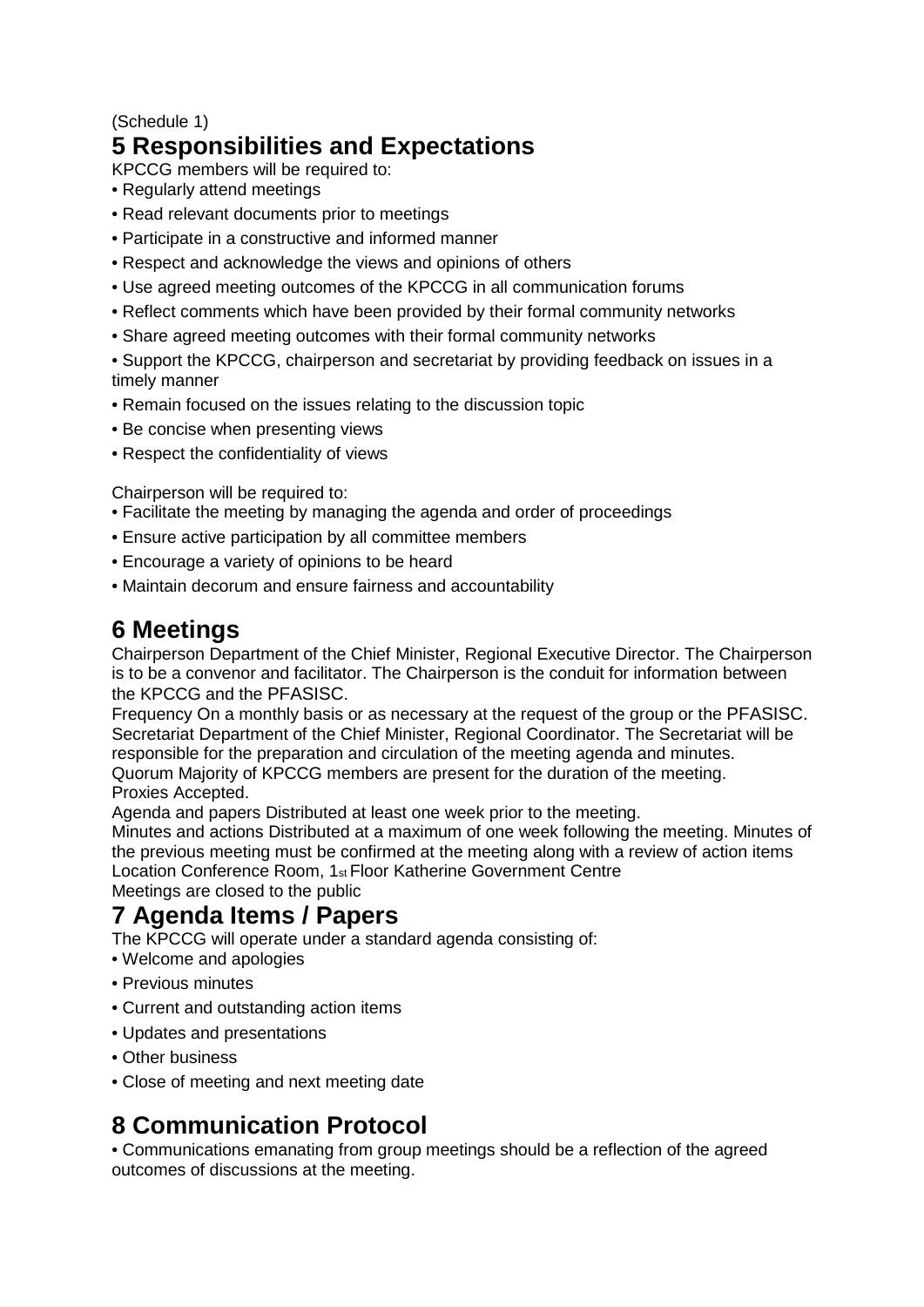### (Schedule 1)

# **5 Responsibilities and Expectations**

KPCCG members will be required to:

- Regularly attend meetings
- Read relevant documents prior to meetings
- Participate in a constructive and informed manner
- Respect and acknowledge the views and opinions of others
- Use agreed meeting outcomes of the KPCCG in all communication forums
- Reflect comments which have been provided by their formal community networks
- Share agreed meeting outcomes with their formal community networks

• Support the KPCCG, chairperson and secretariat by providing feedback on issues in a timely manner

- Remain focused on the issues relating to the discussion topic
- Be concise when presenting views
- Respect the confidentiality of views

Chairperson will be required to:

- Facilitate the meeting by managing the agenda and order of proceedings
- Ensure active participation by all committee members
- Encourage a variety of opinions to be heard
- Maintain decorum and ensure fairness and accountability

## **6 Meetings**

Chairperson Department of the Chief Minister, Regional Executive Director. The Chairperson is to be a convenor and facilitator. The Chairperson is the conduit for information between the KPCCG and the PFASISC.

Frequency On a monthly basis or as necessary at the request of the group or the PFASISC. Secretariat Department of the Chief Minister, Regional Coordinator. The Secretariat will be responsible for the preparation and circulation of the meeting agenda and minutes. Quorum Majority of KPCCG members are present for the duration of the meeting.

Proxies Accepted. Agenda and papers Distributed at least one week prior to the meeting.

Minutes and actions Distributed at a maximum of one week following the meeting. Minutes of the previous meeting must be confirmed at the meeting along with a review of action items Location Conference Room, 1st Floor Katherine Government Centre Meetings are closed to the public

# **7 Agenda Items / Papers**

The KPCCG will operate under a standard agenda consisting of:

- Welcome and apologies
- Previous minutes
- Current and outstanding action items
- Updates and presentations
- Other business
- Close of meeting and next meeting date

# **8 Communication Protocol**

• Communications emanating from group meetings should be a reflection of the agreed outcomes of discussions at the meeting.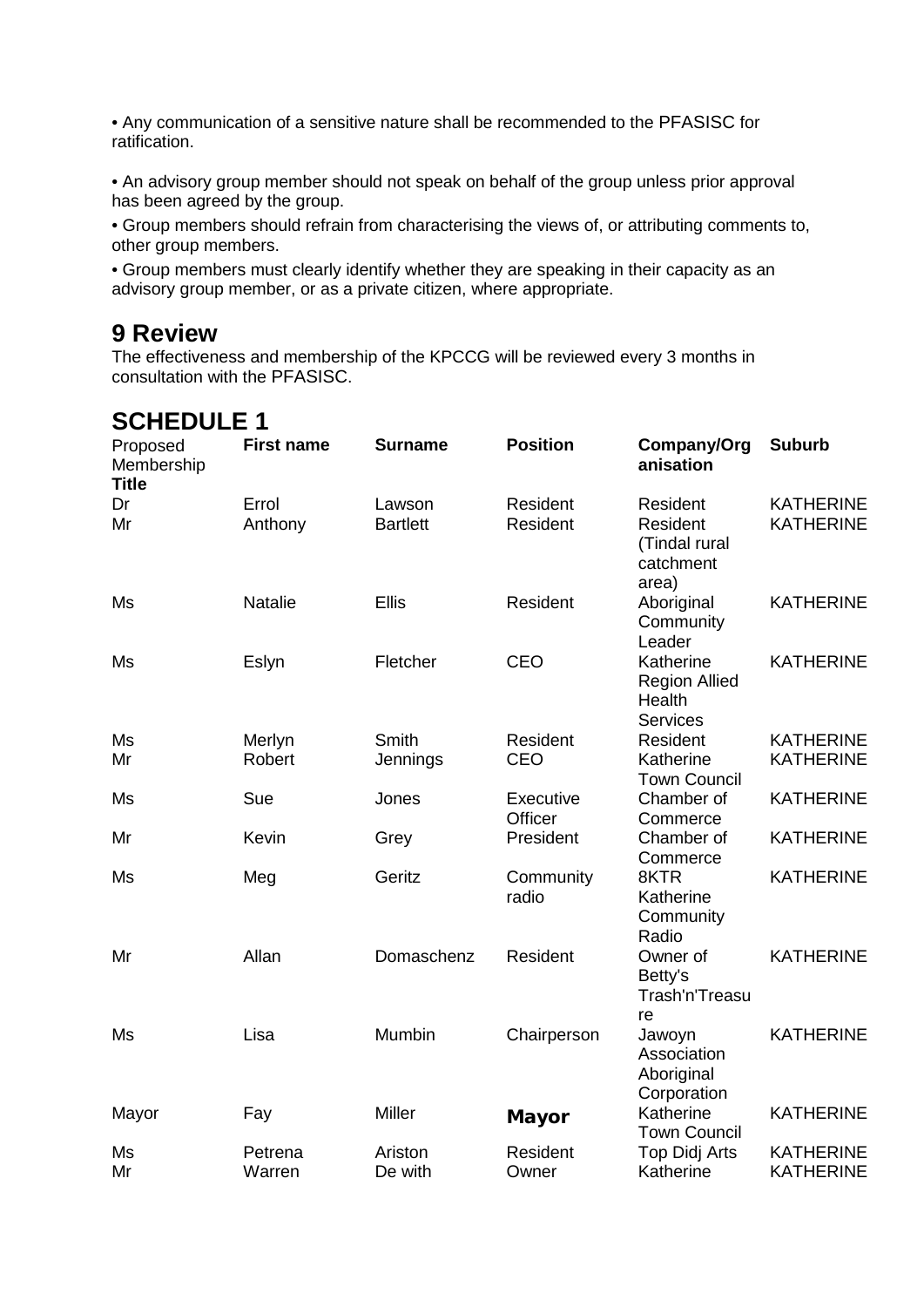• Any communication of a sensitive nature shall be recommended to the PFASISC for ratification.

• An advisory group member should not speak on behalf of the group unless prior approval has been agreed by the group.

• Group members should refrain from characterising the views of, or attributing comments to, other group members.

• Group members must clearly identify whether they are speaking in their capacity as an advisory group member, or as a private citizen, where appropriate.

## **9 Review**

The effectiveness and membership of the KPCCG will be reviewed every 3 months in consultation with the PFASISC.

| ◡╷╷∟◡◡∟∟                               |                   |                 |                      |                                                                |                  |  |  |  |
|----------------------------------------|-------------------|-----------------|----------------------|----------------------------------------------------------------|------------------|--|--|--|
| Proposed<br>Membership<br><b>Title</b> | <b>First name</b> | <b>Surname</b>  | <b>Position</b>      | Company/Org<br>anisation                                       | <b>Suburb</b>    |  |  |  |
| Dr                                     | Errol             | Lawson          | Resident             | Resident                                                       | <b>KATHERINE</b> |  |  |  |
| Mr                                     | Anthony           | <b>Bartlett</b> | Resident             | Resident<br>(Tindal rural<br>catchment<br>area)                | <b>KATHERINE</b> |  |  |  |
| Ms                                     | Natalie           | <b>Ellis</b>    | Resident             | Aboriginal<br>Community<br>Leader                              | <b>KATHERINE</b> |  |  |  |
| Ms                                     | Eslyn             | Fletcher        | CEO                  | Katherine<br><b>Region Allied</b><br>Health<br><b>Services</b> | <b>KATHERINE</b> |  |  |  |
| Ms                                     | Merlyn            | Smith           | Resident             | Resident                                                       | <b>KATHERINE</b> |  |  |  |
| Mr                                     | Robert            | Jennings        | CEO                  | Katherine<br><b>Town Council</b>                               | <b>KATHERINE</b> |  |  |  |
| Ms                                     | Sue               | Jones           | Executive<br>Officer | Chamber of<br>Commerce                                         | <b>KATHERINE</b> |  |  |  |
| Mr                                     | Kevin             | Grey            | President            | Chamber of<br>Commerce                                         | <b>KATHERINE</b> |  |  |  |
| Ms                                     | Meg               | Geritz          | Community<br>radio   | 8KTR<br>Katherine<br>Community<br>Radio                        | <b>KATHERINE</b> |  |  |  |
| Mr                                     | Allan             | Domaschenz      | Resident             | Owner of<br>Betty's<br>Trash'n'Treasu<br>re                    | <b>KATHERINE</b> |  |  |  |
| Ms                                     | Lisa              | Mumbin          | Chairperson          | Jawoyn<br>Association<br>Aboriginal<br>Corporation             | <b>KATHERINE</b> |  |  |  |
| Mayor                                  | Fay               | Miller          | <b>Mayor</b>         | Katherine<br><b>Town Council</b>                               | <b>KATHERINE</b> |  |  |  |
| Ms                                     | Petrena           | Ariston         | Resident             | <b>Top Didj Arts</b>                                           | <b>KATHERINE</b> |  |  |  |
| Mr                                     | Warren            | De with         | Owner                | Katherine                                                      | <b>KATHERINE</b> |  |  |  |

# **SCHEDULE 1**